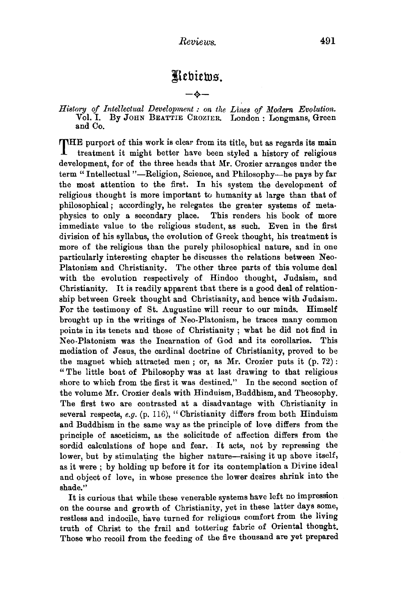Rebiews. —ծ

*History of Intellectual Development : on the Lines of Modern Evolution.*  Vol. I. By JoHN BEATTIE CROZIER. London: Longmans, Green and Co.

THE purport of this work is clear from its title, but as regards its **main**  treatment it might better have been styled a history of religious development, for of the three heads that Mr. Crozier arranges under the term "Intellectual "-Religion, Science, and Philosophy-he pays by far the most attention to the first. In his system the development of religious thought is more important to humanity at large than that of philosophical; accordingly, he relegates the greater systems of metaphysics to only a secondary place. This renders his book of more immediate value to the religious student, as such. Even in the first division of his syllabus, the evolution of Greek thought, his treatment is more of the religious than the purely philosophical nature, and in one particularly interesting chapter he discusses the relations between Neo-Platonism and Christianity. The other three parts of this volume deal with the evolution respectively of Hindoo thought, Judaism, and Christianity. It is readily apparent that there is a good deal of relationship between Greek thought and Christianity, and hence with Judaism. For the testimony of St. Augustine will recur to our minds. Himself brought up in the writings of Nco-Platonism, he traces many common points in its tenets and those of Christianity ; what he did not find in Nco-Platonism was the Incarnation of God and its corollaries. This mediation of Jesus, the cardinal doctrine of Christianity, proved to be the magnet which attracted men ; or, as Mr. Crozier puts it (p. 72) : "The little boat of Philosophy was at last drawing to that religious shore to which from the first it was destined." In the second section of the volume Mr. Crozier deals with Hinduism, Buddhism, and Theosophy. The first two are contrasted at a disadvantage with Christianity in several respects, *e.g.* (p. 116), "Christianity differs from both Hinduism and Buddhism in the same way as the principle of love differs from the principle of asceticism, as the solicitude of affection differs from the sordid calculations of hope and fear. It acts, not by repressing the lower, but by stimulating the higher nature--raising it up above itself, as it were ; by holding up before it for its contemplation a Divine ideal and object of love, in whose presence the lower desires shrink into the shade."

It is curious that while these venerable systems have left no impression on the course and growth of Christianity, yet in these latter days some, restless and indocile, have turned for religious comfort from the living truth of Christ to the frail and tottering fabric of Oriental thought. Those who recoil from the feeding of the five thousand are yet prepared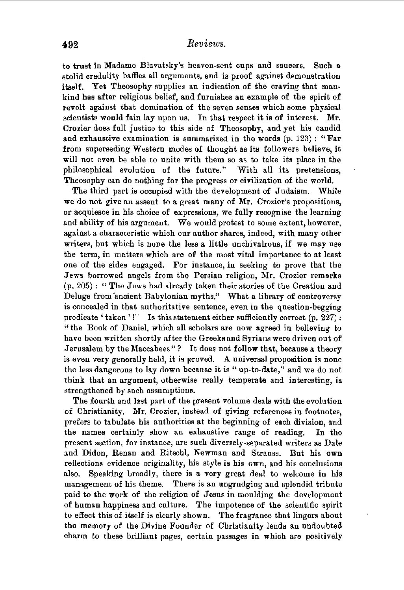to trust in Madame Blavatsky's heaven-sent cups and saucers. Such a stolid credulity baffies all arguments, and is proof against demonstration itself. Yet Theosophy supplies an indication of the craving that mankind has after religious belief, and furnishes an example of the spirit of revolt against that domination of the seven senses which some physical scientists would fain lay upon us. In that respect it is of interest. Mr. Crozier does full justice to this side of Theosophy, and yet his candid and exhaustive examination is summarized in the words  $(p. 123)$ : "Far from superseding Western modes of thought as its followers believe, it will not even be able to unite with them so as to take its place in the philosophical evolution of the future." With all its pretensions, Theosophy can do nothing for the progress or civilization of the world.

The third part is occupied with the development of Judaism, While we do not give an assent to a great many of Mr. Crozier's propositions, or acquiesce in his choice of expressions, we fully recognise the learning and ability of his argument. We would protest to some extent, however, against a characteristic which our author shares, indeed, with many other writers, but which is none the less a little unchivalrous, if we may use the term, in matters which are of the most vital importance to at least one of the sides engaged. For instance, in seeking to prove that the Jews borrowed angels from the Persian religion, Mr. Crozier remarks (p. 205): "The Jews had already taken their stories of the Creation and Deluge from "ancient Babylonian myths." What a library of controversy is concealed in that authoritative sentence, even in the question-begging predicate 'taken'!" Is this statement either sufficiently correct  $(p, 227)$ : "the Book of Daniel, which all scholars are now agreed in believing to have been written shortly after the Greeks and Syrians were driven out of Jerusalem by the Maccabees"? It does not follow that, because a theory is even very generally held, it is proved. A universal proposition is none the less dangerous to lay down because it is "up-to-date," and we do not think that an argument, otherwise really temperate and interesting, is strengthened by such assumptions.

The fourth and last part of the present volume deals with the evolution of Christianity. Mr. Crozier, instead of giving references in footnotes, prefers to tabulate his authorities at the beginning of each division, and the names certainly show an exhaustive range of reading. In the present section, for instance, are such diversely-separated writers as Dale and Didon, Renan and Ritschl, Newman and Strauss. But his own reflections evidence originality, his style is his own, and his conclusions also. Speaking broadly, there is a very great deal to welcome in his management of his theme. There is an ungrndging and splendid tribute paid to the work of the religion of Jesus in moulding the development of human happiness and culture. The impotence of the scientific spirit to effect this of itself is clearly shown. The fragrance that lingers about the memory of the Divine Founder of Christianity lends an undoubted charm to these brilliant pages, certain passages in which are positively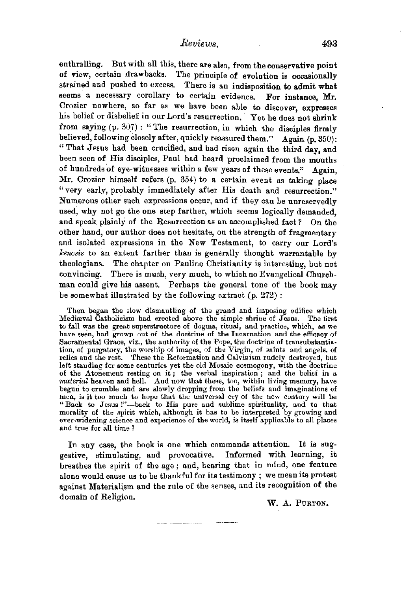enthralling. But with all this, there are also, from the conservative point of view, certain drawbacks. The principle of evolution is occasionally strained and pushed to excess. There is an indisposition to admit what seems a necessary corollary to certain evidence. For instance, Mr. Crozier nowhere, so far as we have been able to discover, expresses his belief or disbelief in our Lord's resurrection. Yet he does not shrink from saying (p. 307) : " The resurrection, in which the disciples firmly believed, following closely after, quickly reassured them." Again (p. 350): "That Jesus had been crucified, and had risen again the third day, and been seen of His disciples, Paul had heard proclaimed from the mouths of hundreds of eye-witnesses within a few years of these events." Again, Mr. Crozier himself refers (p. 354) to a certain event as taking place "very early, probably immediately after His death and resurrection." Numerous other such expressions occur, and if they can be unreservedly used, why not go the one step farther, which seems logically demanded, and speak plainly of the Resurrection as an accomplished fact? On the other hand, our author does not hesitate, on the strength of fragmentary and isolated expressions in the New Testament, to carry our Lord's *kenosis* to an extent farther than is generally thought warrantable by theologians. The chapter on Pauline Christianity is interesting, but not convincing. There is much, very much, to which no Evangelical Churchman could give his assent. Perhaps the general tone of the book may be somewhat illustrated by the following extract (p. 272) :

Then began the slow dismantling of the grand and imposing edifice which Mediaval Catholicism had erected above the simple shrine of Jesus. The first to fall was the great superstructure of dogma, ritual, and practice, which, as we have seen, had grown out of the doctrine of the Incarnation and the efficacy of Sacramental Grace, viz., the authority of the Pope, the doctrine of transubstantiation, of purgatory, the worship of images, of the Virgin, of saints and angels, of relics and the rest. These the Reformation and Calvinism rudely destroyed, but left standing for some centuries yet the old Mosaic cosmogony, with the doctrine of the Atonement resting on it; the verbal inspiration; and the belief in a of the Atonement resting on it; the verbal inspiration; and the belief in a material heaven and hell. And now that these, too, within living memory, have begun to crumble and are slowly dropping from the beliefs and imagin men, is it too much to hope that the universal cry of the new century will be "Back to Jesus !"-back to His pure and sublime spirituality, and to that morality of the spirit which, although it has to be interpreted by growing and ever-widening science and experience of the world, is itself applicable to all places and true for all time?

In any case, the book is one which commands attention. It is suggestive, stimulating, and provocative. Informed with learning, it breathes the spirit of the age ; and, bearing that in mind, one feature alone would cause us to be thankful for its testimony ; we mean its protest against Materialism and the rule of the senses, and its recognition of the domain of Religion. W. A. PURTON.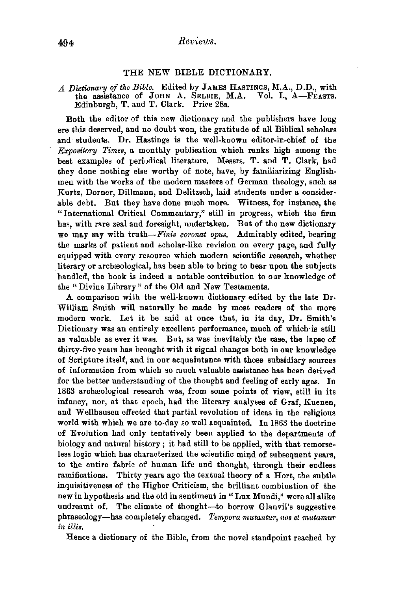## THE NEW BIBLE DICTIONARY.

## *A Dictionary of the Bible.* Edited by JAMES HASTINGS, M.A., D.D., with the assistance of JOHN A. SELBIE, M.A. Vol. I., A-FEASTS. Edinburgh, T. and T. Clark. Price 28s.

Both the editor of this new dictionary and the publishers have long ere this deserved, and no doubt won, the gratitude of all Biblical scholars and students. Dr. Hastings is the well-known editor-in-chief of the *Expoilitory Times,* a monthly publication which ranks high among the best examples of periodical literature. Messrs. T. and T. Clark, had they done nothing else worthy of note, have, by familiarizing Englishmen with the works of the modern masters of German theology, such as Kurtz, Dorner, Dillmann, and Delitzsch, laid students under a considerable debt. But they have done much more. Witness, for instance, the "International Critical Commentary," still in progress, which the firm has, with rare zeal and foresight, undertaken. But of the new dictionary we may say with truth-Finis *coronat opus*. Admirably edited, bearing the marks of patient and scholar-like revision on every page, and fully equipped with every resource which modern scientific research, whether literary or archeological, has been able to bring to bear upon the subjects handled, the book is indeed a notable contribution to our knowledge of the "Divine Library" of the Old and New Testaments.

A comparison with the well-known dictionary edited by the late Dr. William Smith will naturally be made by most readers of the more modern work. Let it be said at once that, in its day, Dr. Smith's Dictionary was an entirely excellent performance, much of whicb·is still as valuable as ever it was. Bot, as was inevitably the case, the lapse of thirty-five years has brought with it signal changes both in our knowledge of Scripture itself, and in our acquaintance with those subsidiary sources of information from which so much valuable assistance has been derived for the better understanding of the thought and feeling of early ages. In 1863 archæological research was, from some points of view, still in its infancy, nor, at that epoch, had the literary analyses of Graf, Kuenen, and Wellhausen effected that partial revolution of ideas in the religious world with which we are to-day so well acquainted. In 1863 the doctrine of Evolution had only tentatively been applied to the departments of biology and natural history ; it had still to be applied, with that remorseless logic which has characterized the scientific mind of subsequent years, to the entire fabric of human life and thought, through their endless ramifications. Thirty years ago the textual theory of a Hort, the subtle inquisitiveness of the Higher Criticism, the brilliant combination of the new in hypothesis and the old in sentiment in" Lux Mundi," were all alike undreamt of. The climate of thought-to borrow Glanvil's suggestive phraseology-has completely changed. *Tempora rnutantur, nos et mutamur in illis.* 

Hence a dictionary of the Bible, from the novel standpoint reached by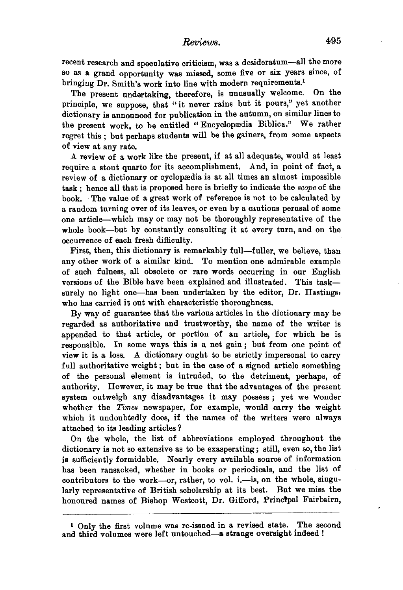## *Reviews.* 495

recent research and speculative criticism, was a desideratum-all the more so as a grand opportunity was missed, some five or six years since, of bringing Dr. Smith's work into line with modern requirements.<sup>1</sup>

The present undertaking, therefore, is unusually welcome. On the principle, we suppose, that "it never rains but it pours," yet another dictionary is announced for publication in the autumn, on similar lines to the present work, to be entitled "Encyclopædia Biblica." We rather regret this ; but perhaps students will be the gainers, from some aspects of view at any rate.

.A. review of a work like the present, if at all adequate, would at least require a stout quarto for its accomplishment. And, in point of fact, a review of a dictionary or cyclopædia is at all times an almost impossible task ; hence all that is proposed here is briefly to indicate the *scope* of the book. The value of a great work of reference is not to be calculated by a random turning over of its leaves, or even by a cautious perusal of some one article-which may or may not be thoroughly representative of the whole book-but by constantly consulting it at every turn, and on the occurrence of each fresh difficulty.

First, then, this dictionary is remarkably full-fuller, we believe, than any other work of a similar kind. To mention one admirable example of such fulness, all obsolete or rare words occurring in our English versions of the Bible have been explained and illustrated. This tasksurely no light one-has been undertaken by the editor, Dr. Hastings, who has carried it out with characteristic thoroughness.

By way of guarantee that the various articles in the dictionary may be regarded as authoritative and trustworthy, the name of the writer is appended to that article, or portion of an article, for which he is responsible. In some ways this is a net gain ; but from one point of view it is a loss. A dictionary ought to be strictly impersonal to carry full authoritative weight; but in the case of a signed article something of the personal element is intruded, to the detriment, perhaps, of authority. However, it may be true that the advantages of the present system outweigh any disadvantages it may possess ; yet we wonder whether the *Times* newspaper, for example, would carry the weight which it undoubtedly does, if the names of the writers were always attached to its leading articles ?

On the whole, the list of abbreviations employed throughout the dictionary is not so extensive as to be exasperating; still, even so, the list is sufficiently formidable. Nearly every available source of information has been ransacked, whether in books or periodicals, and the list of contributors to the work-or, rather, to vol. i.- is, on the whole, singularly representative of British scholarship at its best. But we miss the honoured names of Bishop Westcott, Dr. Gifford, Princtpal Fairbairn,

<sup>&</sup>lt;sup>1</sup> Only the first volume was re-issued in a revised state. The second and third volumes were left untouched-a strange oversight indeed !